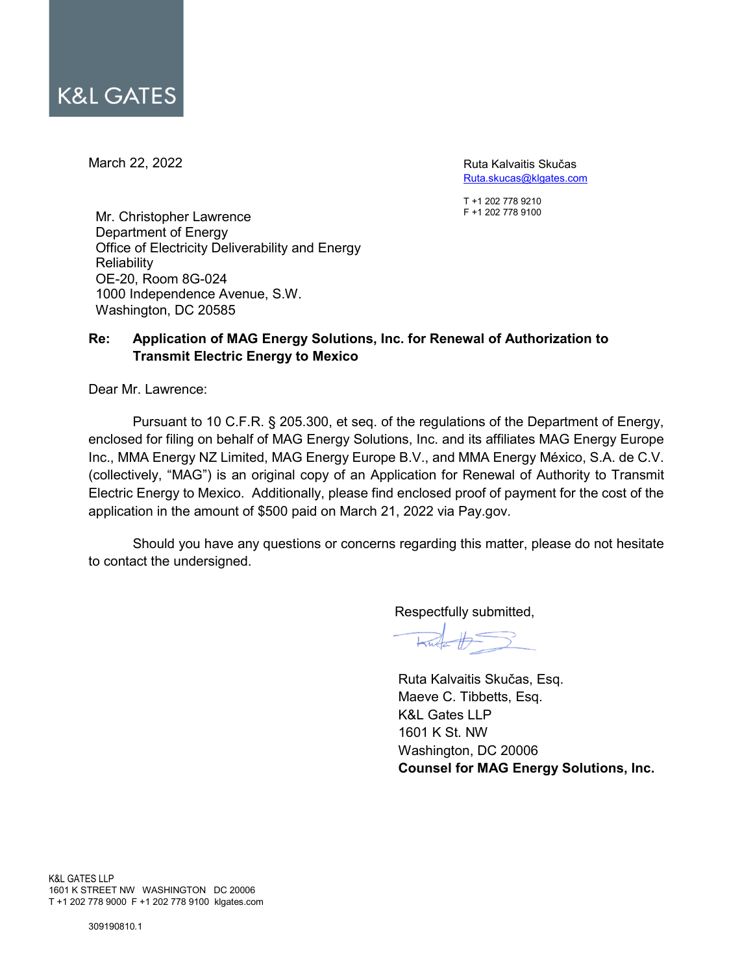March 22, 2022

Ruta Kalvaitis Skučas [Ruta.skucas@klgates.com](mailto:Ruta.skucas@klgates.com)

T +1 202 778 9210 F +1 202 778 9100

Mr. Christopher Lawrence Department of Energy Office of Electricity Deliverability and Energy **Reliability** OE-20, Room 8G-024 1000 Independence Avenue, S.W. Washington, DC 20585

# **Re: Application of MAG Energy Solutions, Inc. for Renewal of Authorization to Transmit Electric Energy to Mexico**

Dear Mr. Lawrence:

Pursuant to 10 C.F.R. § 205.300, et seq. of the regulations of the Department of Energy, enclosed for filing on behalf of MAG Energy Solutions, Inc. and its affiliates MAG Energy Europe Inc., MMA Energy NZ Limited, MAG Energy Europe B.V., and MMA Energy México, S.A. de C.V. (collectively, "MAG") is an original copy of an Application for Renewal of Authority to Transmit Electric Energy to Mexico. Additionally, please find enclosed proof of payment for the cost of the application in the amount of \$500 paid on March 21, 2022 via Pay.gov.

Should you have any questions or concerns regarding this matter, please do not hesitate to contact the undersigned.

Respectfully submitted,

 $H = \frac{1}{2}$ 

Ruta Kalvaitis Skučas, Esq. Maeve C. Tibbetts, Esq. K&L Gates LLP 1601 K St. NW Washington, DC 20006 **Counsel for MAG Energy Solutions, Inc.**

K&L GATES LLP 1601 K STREET NW WASHINGTON DC 20006 T +1 202 778 9000 F +1 202 778 9100 klgates.com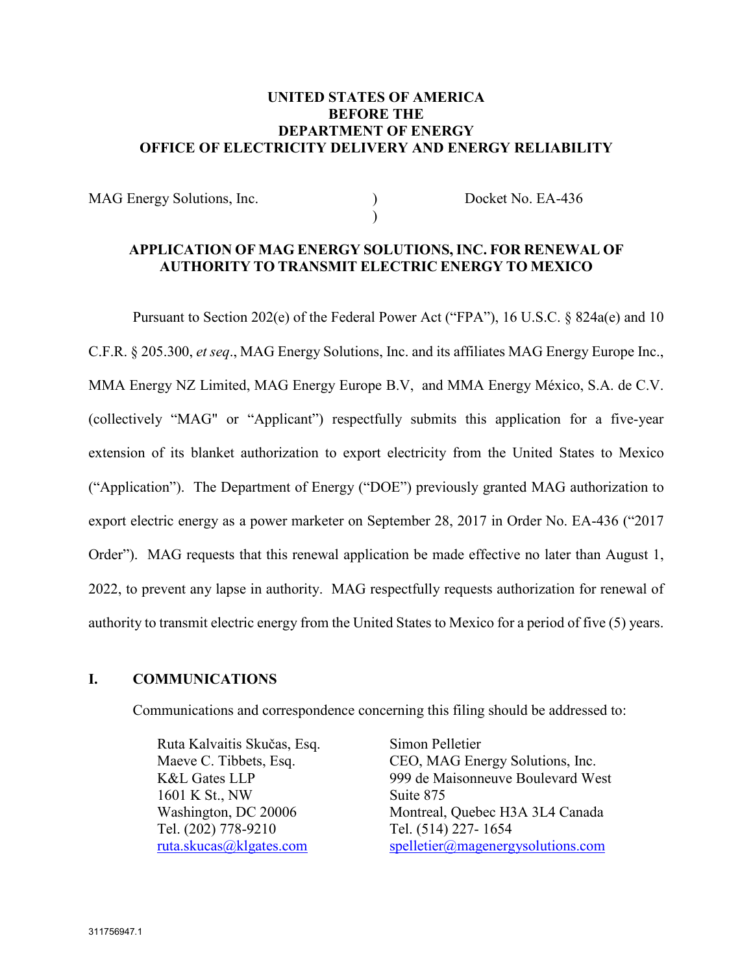## **UNITED STATES OF AMERICA BEFORE THE DEPARTMENT OF ENERGY OFFICE OF ELECTRICITY DELIVERY AND ENERGY RELIABILITY**

MAG Energy Solutions, Inc. (a) Docket No. EA-436  $\lambda$ 

## **APPLICATION OF MAG ENERGY SOLUTIONS, INC. FOR RENEWAL OF AUTHORITY TO TRANSMIT ELECTRIC ENERGY TO MEXICO**

Pursuant to Section 202(e) of the Federal Power Act ("FPA"), 16 U.S.C. § 824a(e) and 10 C.F.R. § 205.300, *et seq*., MAG Energy Solutions, Inc. and its affiliates MAG Energy Europe Inc., MMA Energy NZ Limited, MAG Energy Europe B.V, and MMA Energy México, S.A. de C.V. (collectively "MAG" or "Applicant") respectfully submits this application for a five-year extension of its blanket authorization to export electricity from the United States to Mexico ("Application"). The Department of Energy ("DOE") previously granted MAG authorization to export electric energy as a power marketer on September 28, 2017 in Order No. EA-436 ("2017 Order"). MAG requests that this renewal application be made effective no later than August 1, 2022, to prevent any lapse in authority. MAG respectfully requests authorization for renewal of authority to transmit electric energy from the United States to Mexico for a period of five (5) years.

### **I. COMMUNICATIONS**

Communications and correspondence concerning this filing should be addressed to:

Ruta Kalvaitis Skučas, Esq. Maeve C. Tibbets, Esq. K&L Gates LLP 1601 K St., NW Washington, DC 20006 Tel. (202) 778-9210 ruta.skucas@klgates.com

Simon Pelletier CEO, MAG Energy Solutions, Inc. 999 de Maisonneuve Boulevard West Suite 875 Montreal, Quebec H3A 3L4 Canada Tel. (514) 227- 1654 [spelletier@magenergysolutions.com](mailto:spelletier@magenergysolutions.com)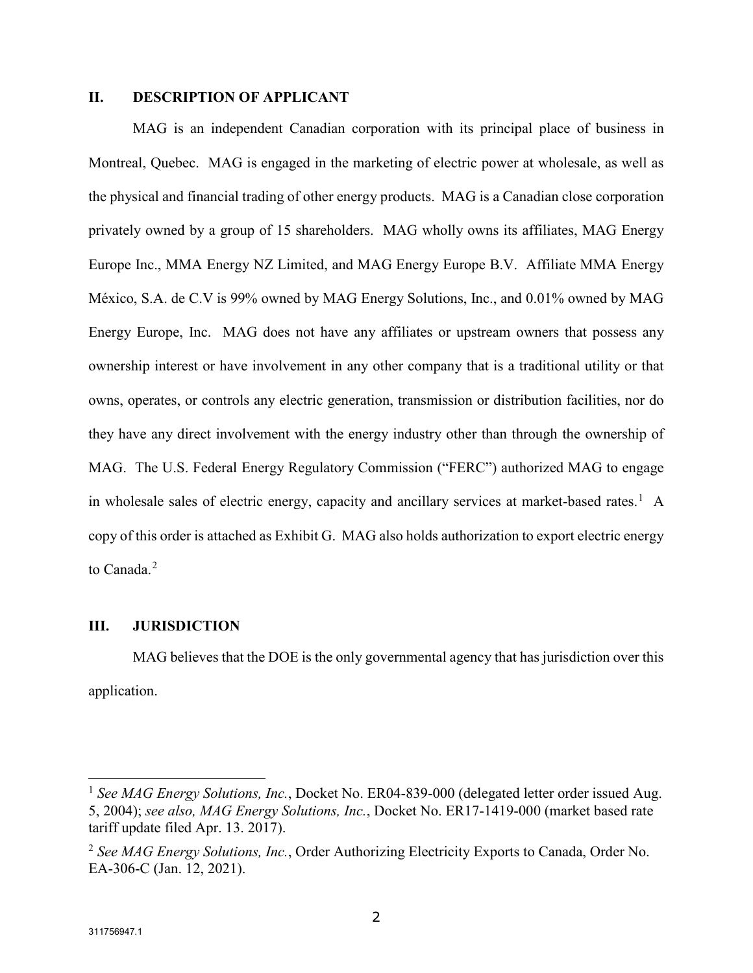### **II. DESCRIPTION OF APPLICANT**

MAG is an independent Canadian corporation with its principal place of business in Montreal, Quebec. MAG is engaged in the marketing of electric power at wholesale, as well as the physical and financial trading of other energy products. MAG is a Canadian close corporation privately owned by a group of 15 shareholders. MAG wholly owns its affiliates, MAG Energy Europe Inc., MMA Energy NZ Limited, and MAG Energy Europe B.V. Affiliate MMA Energy México, S.A. de C.V is 99% owned by MAG Energy Solutions, Inc., and 0.01% owned by MAG Energy Europe, Inc. MAG does not have any affiliates or upstream owners that possess any ownership interest or have involvement in any other company that is a traditional utility or that owns, operates, or controls any electric generation, transmission or distribution facilities, nor do they have any direct involvement with the energy industry other than through the ownership of MAG. The U.S. Federal Energy Regulatory Commission ("FERC") authorized MAG to engage in wholesale sales of electric energy, capacity and ancillary services at market-based rates.<sup>[1](#page-2-0)</sup> A copy of this order is attached as Exhibit G. MAG also holds authorization to export electric energy to Canada.<sup>[2](#page-2-1)</sup>

#### **III. JURISDICTION**

MAG believes that the DOE is the only governmental agency that has jurisdiction over this application.

<span id="page-2-0"></span><sup>&</sup>lt;sup>1</sup> See MAG Energy Solutions, Inc., Docket No. ER04-839-000 (delegated letter order issued Aug. 5, 2004); *see also, MAG Energy Solutions, Inc.*, Docket No. ER17-1419-000 (market based rate tariff update filed Apr. 13. 2017).

<span id="page-2-1"></span><sup>2</sup> *See MAG Energy Solutions, Inc.*, Order Authorizing Electricity Exports to Canada, Order No. EA-306-C (Jan. 12, 2021).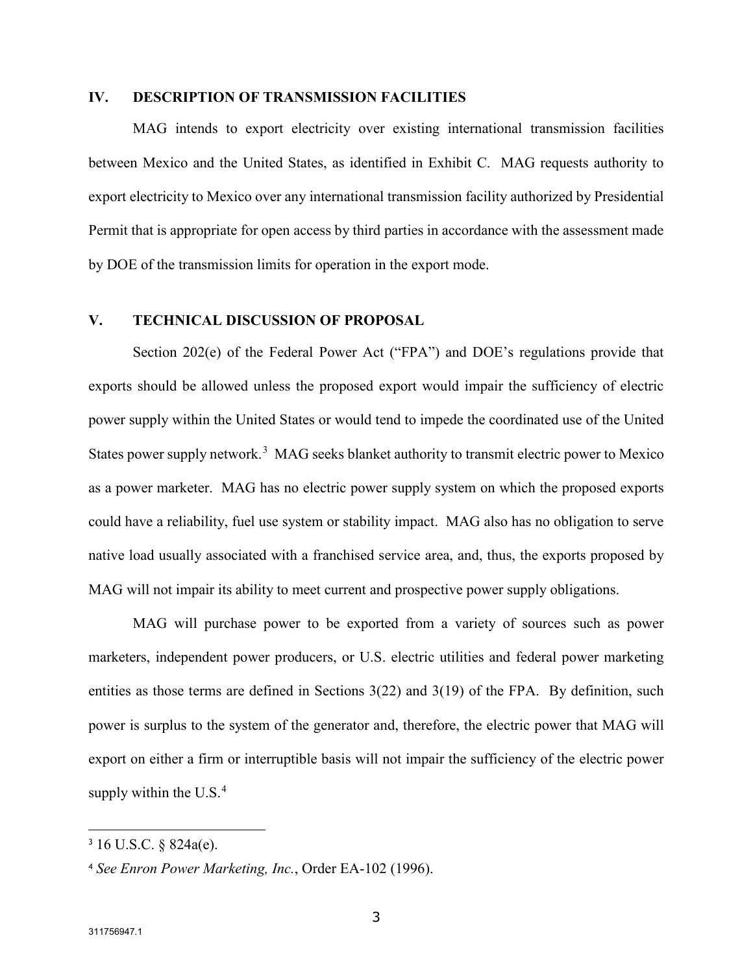#### **IV. DESCRIPTION OF TRANSMISSION FACILITIES**

MAG intends to export electricity over existing international transmission facilities between Mexico and the United States, as identified in Exhibit C. MAG requests authority to export electricity to Mexico over any international transmission facility authorized by Presidential Permit that is appropriate for open access by third parties in accordance with the assessment made by DOE of the transmission limits for operation in the export mode.

### **V. TECHNICAL DISCUSSION OF PROPOSAL**

Section 202(e) of the Federal Power Act ("FPA") and DOE's regulations provide that exports should be allowed unless the proposed export would impair the sufficiency of electric power supply within the United States or would tend to impede the coordinated use of the United States power supply network.<sup>[3](#page-3-0)</sup> MAG seeks blanket authority to transmit electric power to Mexico as a power marketer. MAG has no electric power supply system on which the proposed exports could have a reliability, fuel use system or stability impact. MAG also has no obligation to serve native load usually associated with a franchised service area, and, thus, the exports proposed by MAG will not impair its ability to meet current and prospective power supply obligations.

MAG will purchase power to be exported from a variety of sources such as power marketers, independent power producers, or U.S. electric utilities and federal power marketing entities as those terms are defined in Sections 3(22) and 3(19) of the FPA. By definition, such power is surplus to the system of the generator and, therefore, the electric power that MAG will export on either a firm or interruptible basis will not impair the sufficiency of the electric power supply within the  $U.S.<sup>4</sup>$  $U.S.<sup>4</sup>$  $U.S.<sup>4</sup>$ 

<span id="page-3-0"></span><sup>3</sup> 16 U.S.C. § 824a(e).

<span id="page-3-1"></span><sup>4</sup> *See Enron Power Marketing, Inc.*, Order EA-102 (1996).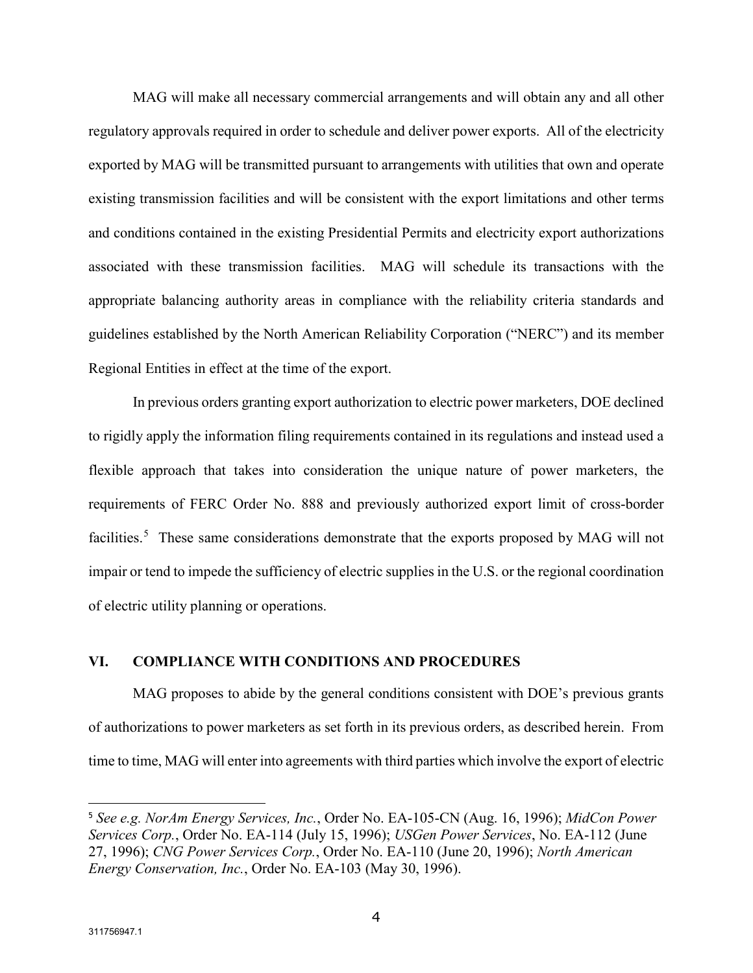MAG will make all necessary commercial arrangements and will obtain any and all other regulatory approvals required in order to schedule and deliver power exports. All of the electricity exported by MAG will be transmitted pursuant to arrangements with utilities that own and operate existing transmission facilities and will be consistent with the export limitations and other terms and conditions contained in the existing Presidential Permits and electricity export authorizations associated with these transmission facilities. MAG will schedule its transactions with the appropriate balancing authority areas in compliance with the reliability criteria standards and guidelines established by the North American Reliability Corporation ("NERC") and its member Regional Entities in effect at the time of the export.

In previous orders granting export authorization to electric power marketers, DOE declined to rigidly apply the information filing requirements contained in its regulations and instead used a flexible approach that takes into consideration the unique nature of power marketers, the requirements of FERC Order No. 888 and previously authorized export limit of cross-border facilities.<sup>[5](#page-4-0)</sup> These same considerations demonstrate that the exports proposed by MAG will not impair or tend to impede the sufficiency of electric supplies in the U.S. or the regional coordination of electric utility planning or operations.

### **VI. COMPLIANCE WITH CONDITIONS AND PROCEDURES**

MAG proposes to abide by the general conditions consistent with DOE's previous grants of authorizations to power marketers as set forth in its previous orders, as described herein. From time to time, MAG will enter into agreements with third parties which involve the export of electric

<span id="page-4-0"></span><sup>5</sup> *See e.g. NorAm Energy Services, Inc.*, Order No. EA-105-CN (Aug. 16, 1996); *MidCon Power Services Corp.*, Order No. EA-114 (July 15, 1996); *USGen Power Services*, No. EA-112 (June 27, 1996); *CNG Power Services Corp.*, Order No. EA-110 (June 20, 1996); *North American Energy Conservation, Inc.*, Order No. EA-103 (May 30, 1996).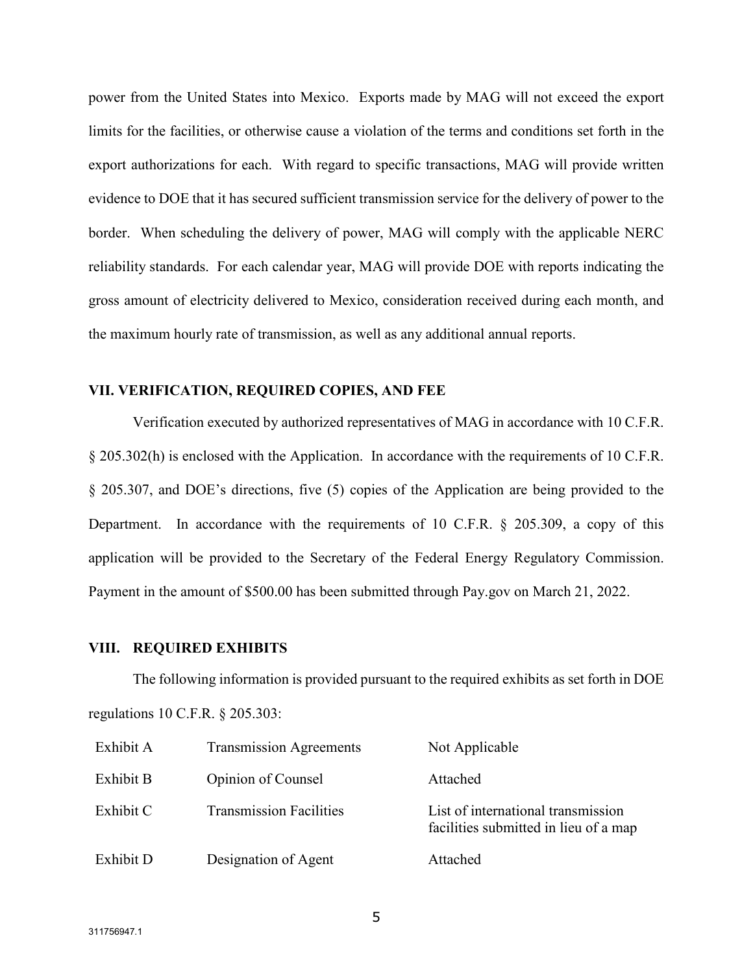power from the United States into Mexico. Exports made by MAG will not exceed the export limits for the facilities, or otherwise cause a violation of the terms and conditions set forth in the export authorizations for each. With regard to specific transactions, MAG will provide written evidence to DOE that it has secured sufficient transmission service for the delivery of power to the border. When scheduling the delivery of power, MAG will comply with the applicable NERC reliability standards. For each calendar year, MAG will provide DOE with reports indicating the gross amount of electricity delivered to Mexico, consideration received during each month, and the maximum hourly rate of transmission, as well as any additional annual reports.

#### **VII. VERIFICATION, REQUIRED COPIES, AND FEE**

Verification executed by authorized representatives of MAG in accordance with 10 C.F.R. § 205.302(h) is enclosed with the Application. In accordance with the requirements of 10 C.F.R. § 205.307, and DOE's directions, five (5) copies of the Application are being provided to the Department. In accordance with the requirements of 10 C.F.R. § 205.309, a copy of this application will be provided to the Secretary of the Federal Energy Regulatory Commission. Payment in the amount of \$500.00 has been submitted through Pay.gov on March 21, 2022.

#### **VIII. REQUIRED EXHIBITS**

The following information is provided pursuant to the required exhibits as set forth in DOE regulations 10 C.F.R. § 205.303:

| Exhibit A | <b>Transmission Agreements</b> | Not Applicable                                                              |
|-----------|--------------------------------|-----------------------------------------------------------------------------|
| Exhibit B | Opinion of Counsel             | Attached                                                                    |
| Exhibit C | <b>Transmission Facilities</b> | List of international transmission<br>facilities submitted in lieu of a map |
| Exhibit D | Designation of Agent           | Attached                                                                    |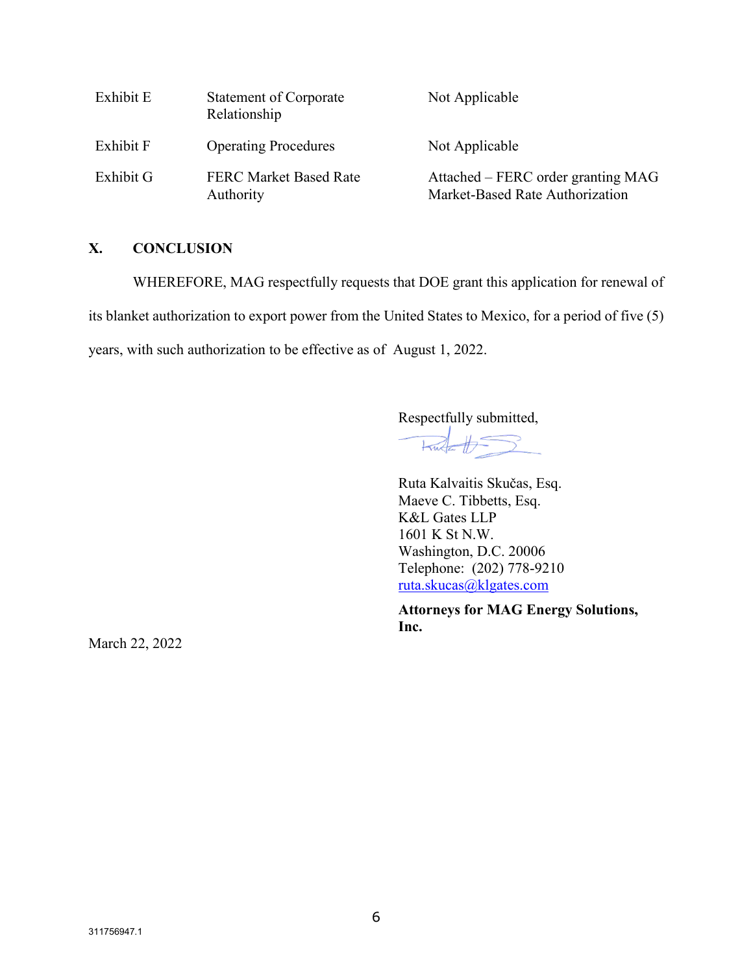| Exhibit E | <b>Statement of Corporate</b><br>Relationship | Not Applicable                                                        |
|-----------|-----------------------------------------------|-----------------------------------------------------------------------|
| Exhibit F | <b>Operating Procedures</b>                   | Not Applicable                                                        |
| Exhibit G | <b>FERC Market Based Rate</b><br>Authority    | Attached – FERC order granting MAG<br>Market-Based Rate Authorization |

#### **X. CONCLUSION**

WHEREFORE, MAG respectfully requests that DOE grant this application for renewal of

its blanket authorization to export power from the United States to Mexico, for a period of five (5)

years, with such authorization to be effective as of August 1, 2022.

Respectfully submitted,

 $\frac{1}{2}$ 

Ruta Kalvaitis Skučas, Esq. Maeve C. Tibbetts, Esq. K&L Gates LLP 1601 K St N.W. Washington, D.C. 20006 Telephone: (202) 778-9210 [ruta.skucas@klgates.com](mailto:ruta.skucas@klgates.com)

**Attorneys for MAG Energy Solutions, Inc.**

March 22, 2022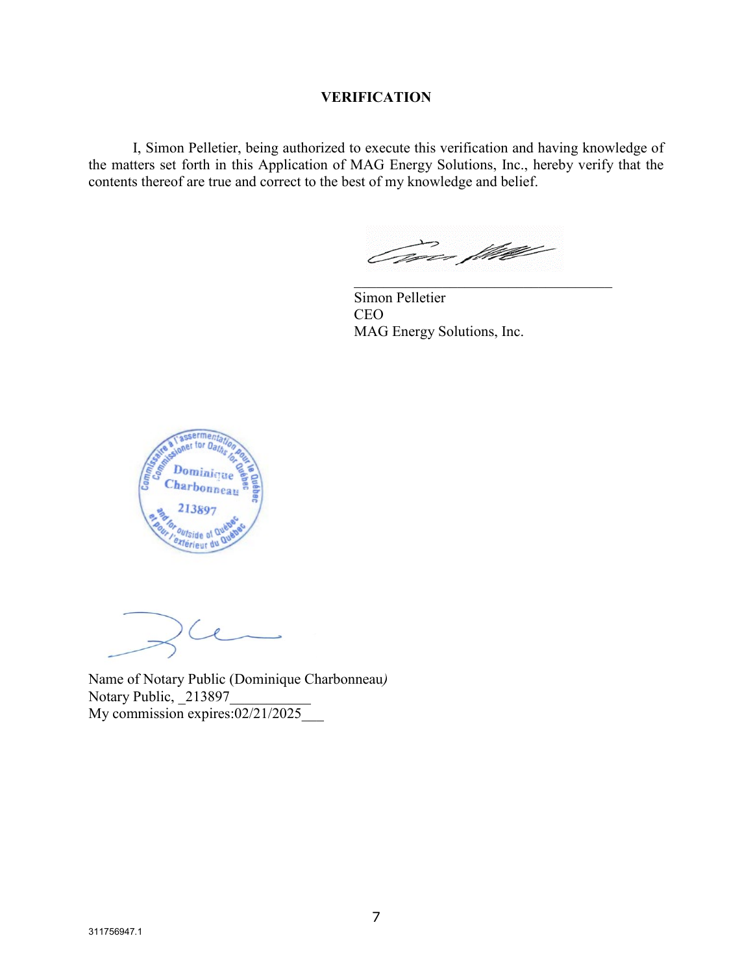#### **VERIFICATION**

I, Simon Pelletier, being authorized to execute this verification and having knowledge of the matters set forth in this Application of MAG Energy Solutions, Inc., hereby verify that the contents thereof are true and correct to the best of my knowledge and belief.

Tores fliktle

Simon Pelletier CEO MAG Energy Solutions, Inc.



Name of Notary Public (Dominique Charbonneau*)* Notary Public, 213897 My commission expires:02/21/2025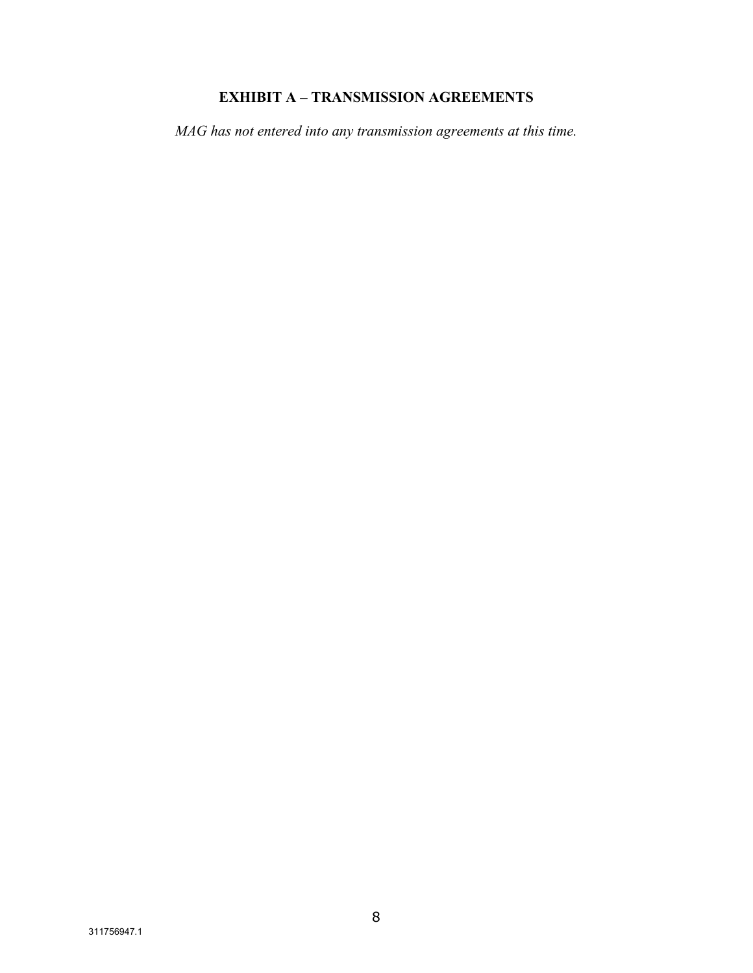# **EXHIBIT A – TRANSMISSION AGREEMENTS**

*MAG has not entered into any transmission agreements at this time.*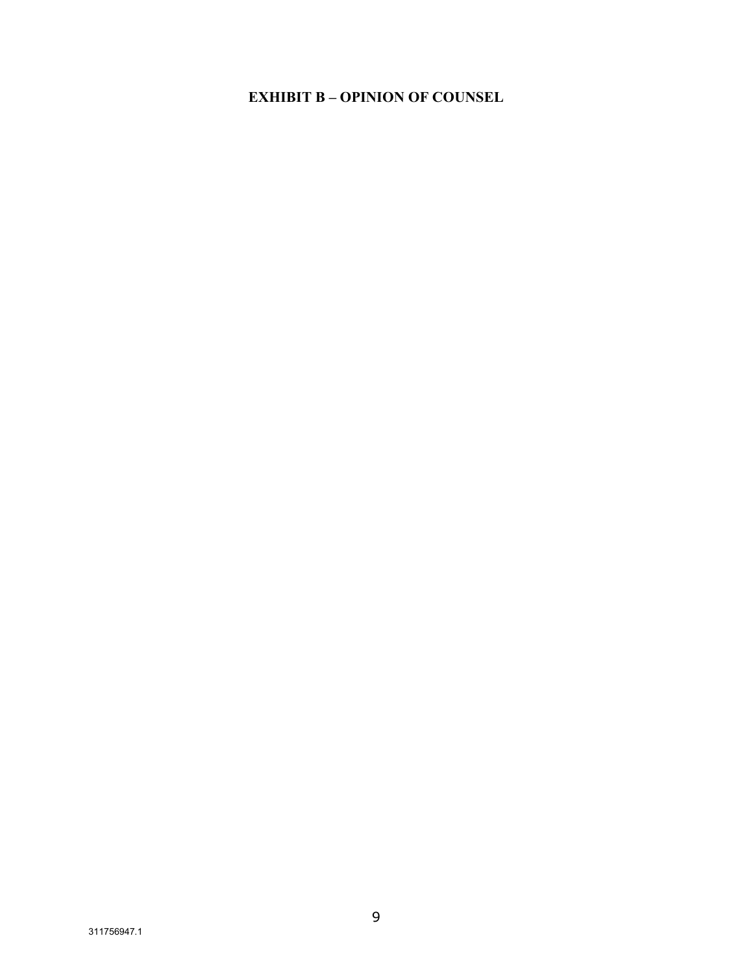# **EXHIBIT B - OPINION OF COUNSEL**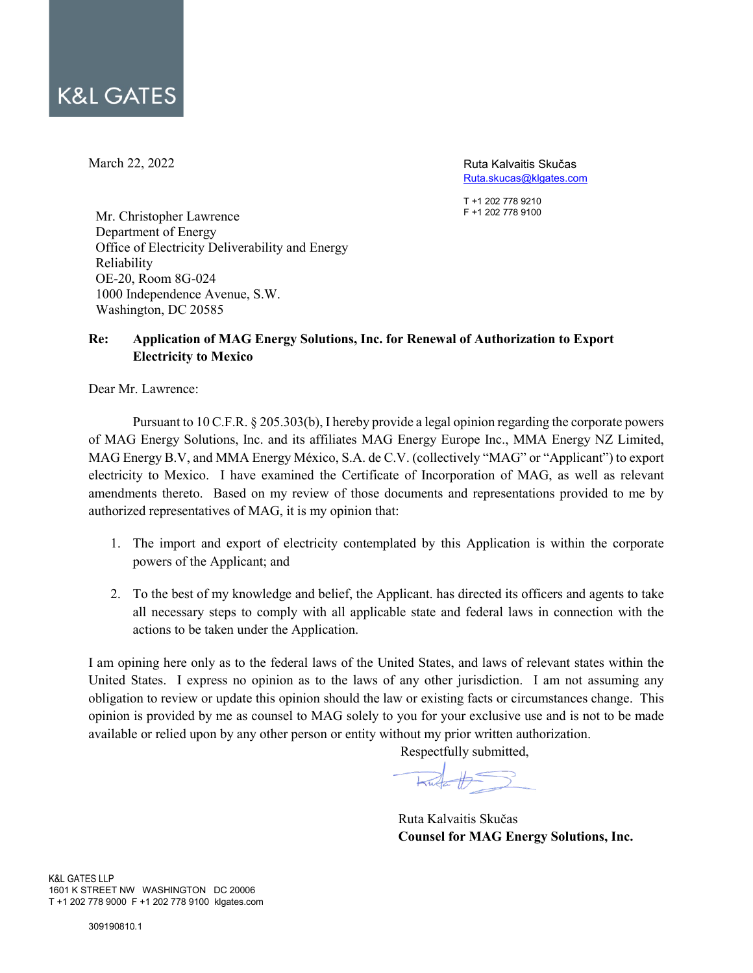March 22, 2022

Ruta Kalvaitis Skučas [Ruta.skucas@klgates.com](mailto:Ruta.skucas@klgates.com)

T +1 202 778 9210 F +1 202 778 9100

Mr. Christopher Lawrence Department of Energy Office of Electricity Deliverability and Energy Reliability OE-20, Room 8G-024 1000 Independence Avenue, S.W. Washington, DC 20585

## **Re: Application of MAG Energy Solutions, Inc. for Renewal of Authorization to Export Electricity to Mexico**

Dear Mr. Lawrence:

Pursuant to 10 C.F.R. § 205.303(b), I hereby provide a legal opinion regarding the corporate powers of MAG Energy Solutions, Inc. and its affiliates MAG Energy Europe Inc., MMA Energy NZ Limited, MAG Energy B.V, and MMA Energy México, S.A. de C.V. (collectively "MAG" or "Applicant") to export electricity to Mexico. I have examined the Certificate of Incorporation of MAG, as well as relevant amendments thereto. Based on my review of those documents and representations provided to me by authorized representatives of MAG, it is my opinion that:

- 1. The import and export of electricity contemplated by this Application is within the corporate powers of the Applicant; and
- 2. To the best of my knowledge and belief, the Applicant. has directed its officers and agents to take all necessary steps to comply with all applicable state and federal laws in connection with the actions to be taken under the Application.

I am opining here only as to the federal laws of the United States, and laws of relevant states within the United States. I express no opinion as to the laws of any other jurisdiction. I am not assuming any obligation to review or update this opinion should the law or existing facts or circumstances change. This opinion is provided by me as counsel to MAG solely to you for your exclusive use and is not to be made available or relied upon by any other person or entity without my prior written authorization.

Respectfully submitted,

Ruta Kalvaitis Skučas **Counsel for MAG Energy Solutions, Inc.**

K&L GATES LLP 1601 K STREET NW WASHINGTON DC 20006 T +1 202 778 9000 F +1 202 778 9100 klgates.com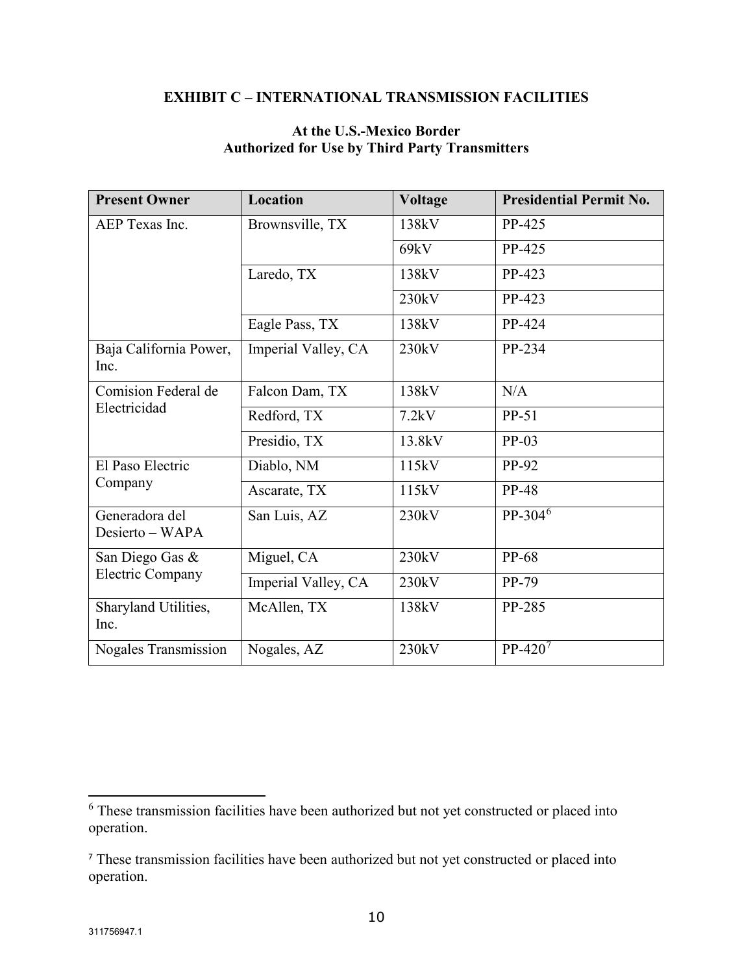# **EXHIBIT C – INTERNATIONAL TRANSMISSION FACILITIES**

# **At the U.S.-Mexico Border Authorized for Use by Third Party Transmitters**

| <b>Present Owner</b>              | <b>Location</b>     | <b>Voltage</b> | <b>Presidential Permit No.</b> |
|-----------------------------------|---------------------|----------------|--------------------------------|
| AEP Texas Inc.                    | Brownsville, TX     | 138kV          | PP-425                         |
|                                   |                     | 69kV           | PP-425                         |
|                                   | Laredo, TX          | 138kV          | PP-423                         |
|                                   |                     | 230kV          | PP-423                         |
|                                   | Eagle Pass, TX      | 138kV          | PP-424                         |
| Baja California Power,<br>Inc.    | Imperial Valley, CA | 230kV          | PP-234                         |
| Comision Federal de               | Falcon Dam, TX      | 138kV          | N/A                            |
| Electricidad                      | Redford, TX         | 7.2kV          | $PP-51$                        |
|                                   | Presidio, TX        | 13.8kV         | $PP-03$                        |
| El Paso Electric                  | Diablo, NM          | 115kV          | PP-92                          |
| Company                           | Ascarate, TX        | 115kV          | <b>PP-48</b>                   |
| Generadora del<br>Desierto – WAPA | San Luis, AZ        | 230kV          | $PP-304^6$                     |
| San Diego Gas &                   | Miguel, CA          | 230kV          | PP-68                          |
| Electric Company                  | Imperial Valley, CA | 230kV          | PP-79                          |
| Sharyland Utilities,<br>Inc.      | McAllen, TX         | 138kV          | PP-285                         |
| Nogales Transmission              | Nogales, AZ         | 230kV          | $PP-4207$                      |

<span id="page-11-0"></span> $6$  These transmission facilities have been authorized but not yet constructed or placed into operation.

<span id="page-11-1"></span><sup>7</sup> These transmission facilities have been authorized but not yet constructed or placed into operation.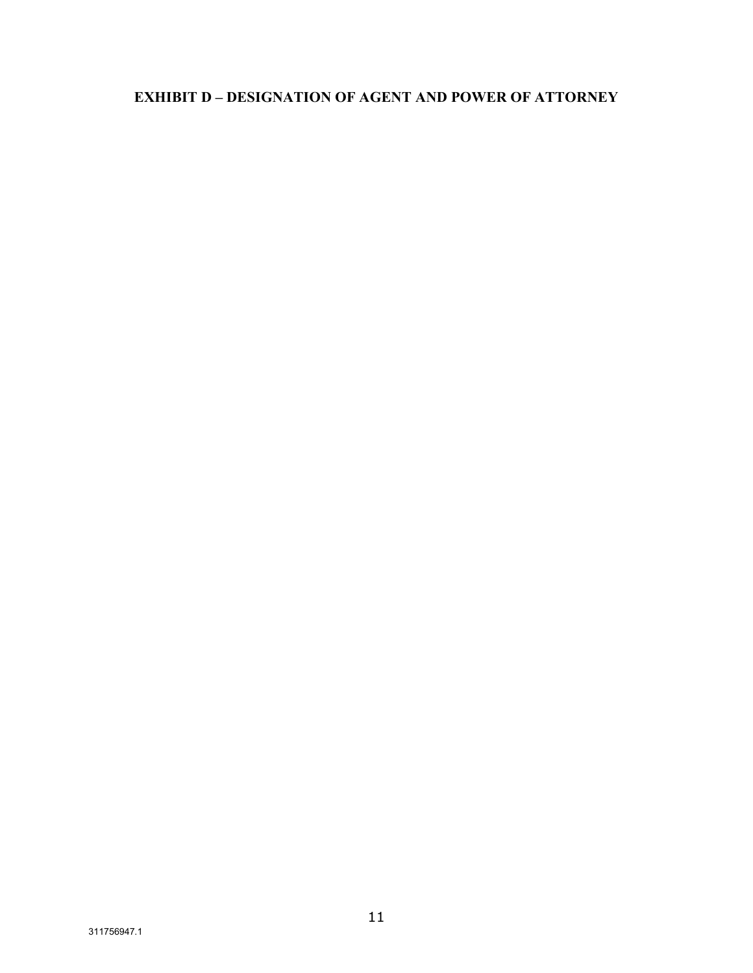# **EXHIBIT D - DESIGNATION OF AGENT AND POWER OF ATTORNEY**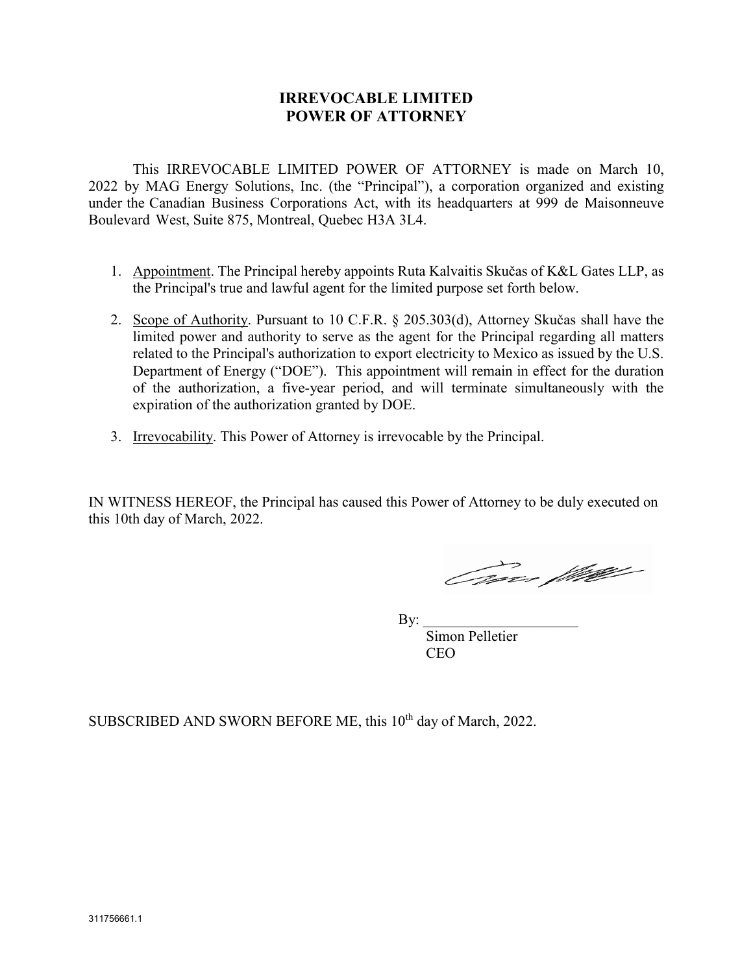# **IRREVOCABLE LIMITED POWER OF ATTORNEY**

This IRREVOCABLE LIMITED POWER OF ATTORNEY is made on March 10, 2022 by MAG Energy Solutions, Inc. (the "Principal"), a corporation organized and existing under the Canadian Business Corporations Act, with its headquarters at 999 de Maisonneuve Boulevard West, Suite 875, Montreal, Quebec H3A 3L4.

- 1. Appointment. The Principal hereby appoints Ruta Kalvaitis Skučas of K&L Gates LLP, as the Principal's true and lawful agent for the limited purpose set forth below.
- 2. Scope of Authority. Pursuant to 10 C.F.R. § 205.303(d), Attorney Skučas shall have the limited power and authority to serve as the agent for the Principal regarding all matters related to the Principal's authorization to export electricity to Mexico as issued by the U.S. Department of Energy ("DOE"). This appointment will remain in effect for the duration of the authorization, a five-year period, and will terminate simultaneously with the expiration of the authorization granted by DOE.
- 3. Irrevocability. This Power of Attorney is irrevocable by the Principal.

IN WITNESS HEREOF, the Principal has caused this Power of Attorney to be duly executed on this 10th day of March, 2022.

Omar flutter

By:

Simon Pelletier **CEO** 

SUBSCRIBED AND SWORN BEFORE ME, this 10<sup>th</sup> day of March, 2022.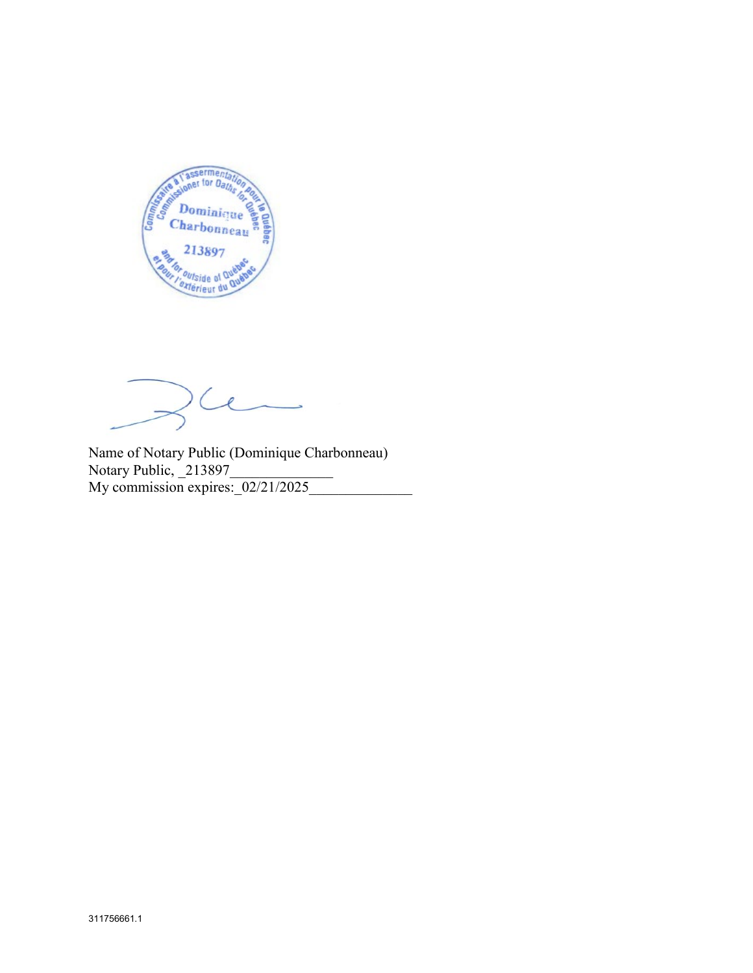

 $\overline{\ell}$ 

Name of Notary Public (Dominique Charbonneau) Notary Public, 213897 My commission expires:  $\sqrt{02/21/2025}$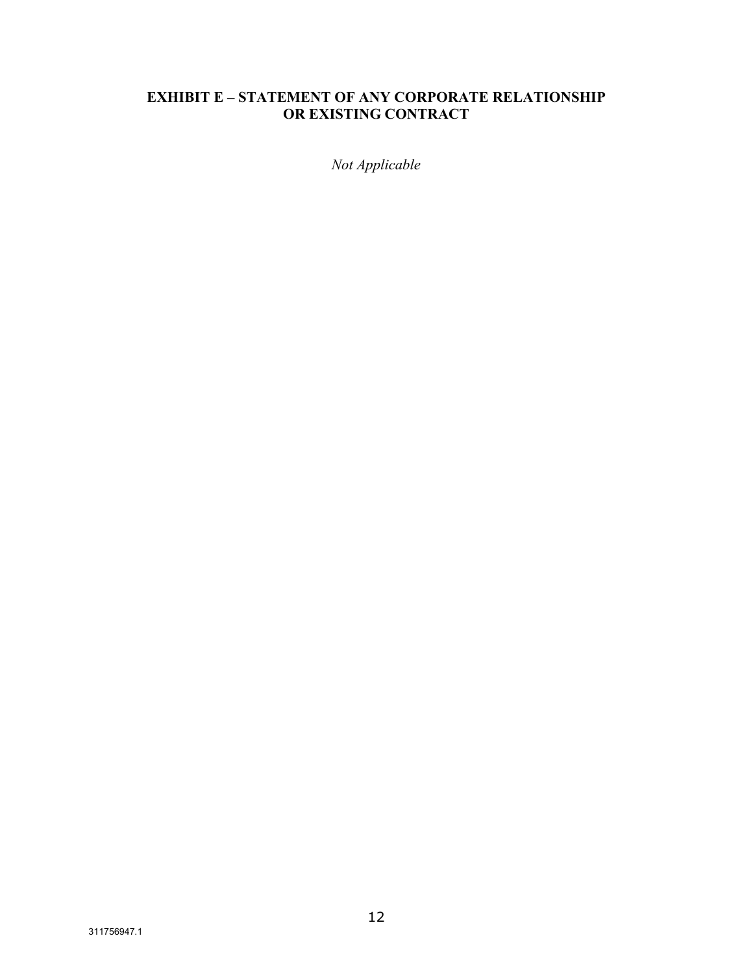# **EXHIBIT E - STATEMENT OF ANY CORPORATE RELATIONSHIP** OR EXISTING CONTRACT

Not Applicable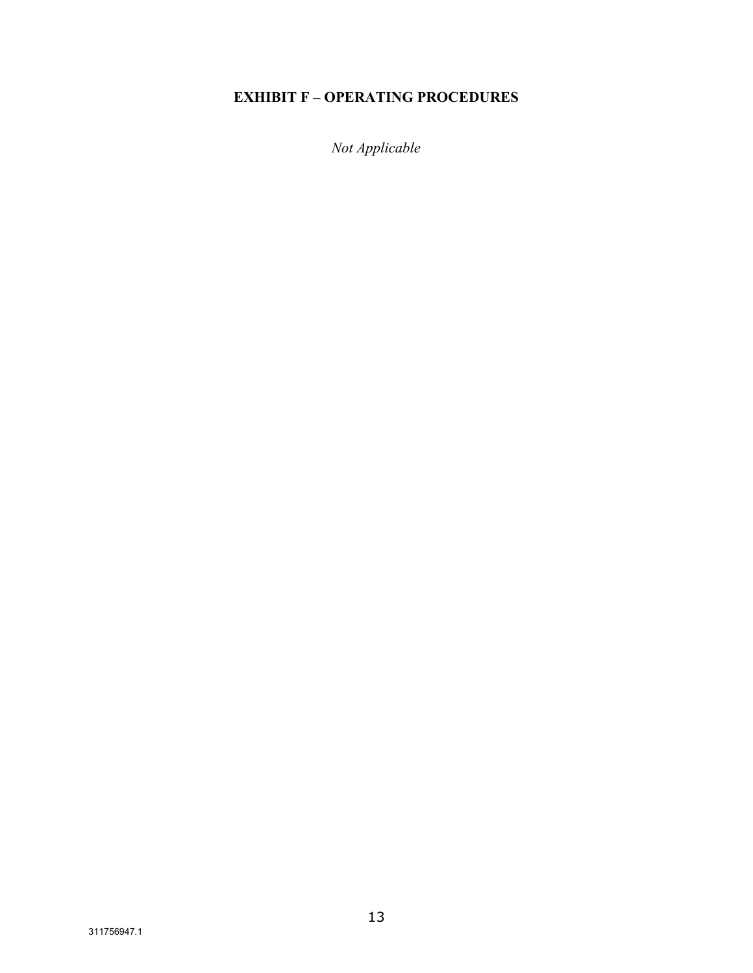# **EXHIBIT F - OPERATING PROCEDURES**

Not Applicable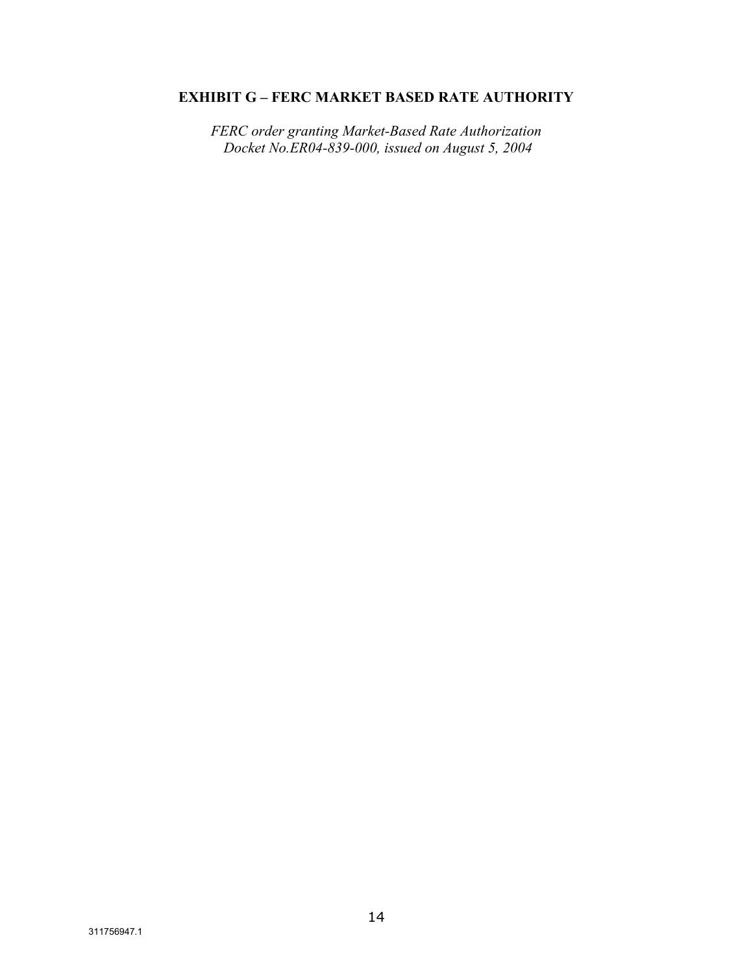# **EXHIBIT G – FERC MARKET BASED RATE AUTHORITY**

*FERC order granting Market-Based Rate Authorization Docket No.ER04-839-000, issued on August 5, 2004*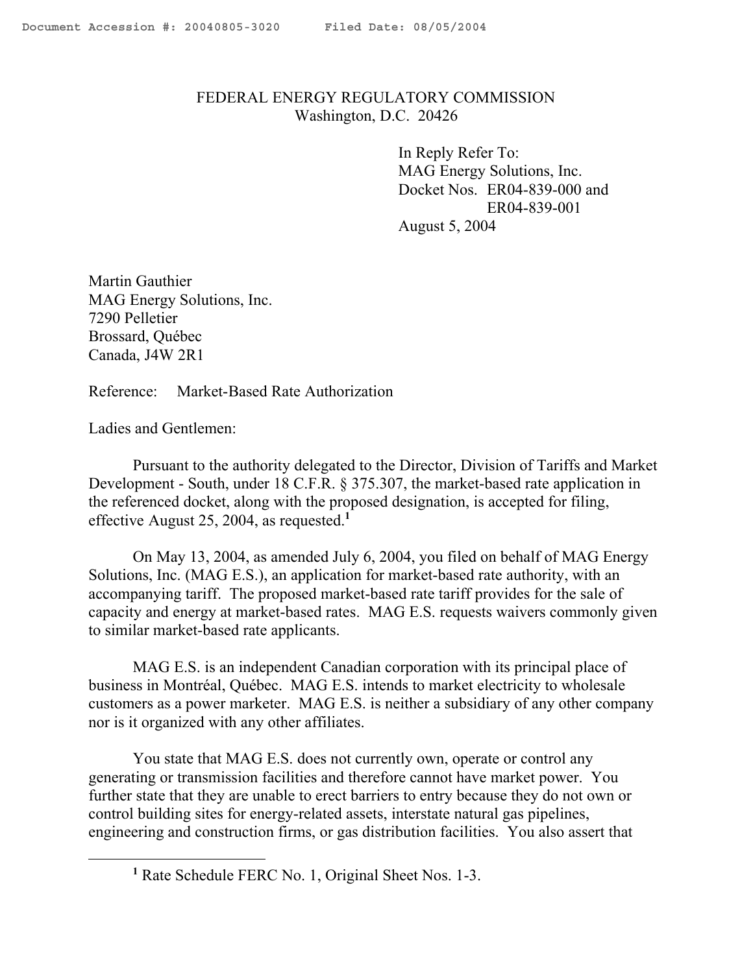# FEDERAL ENERGY REGULATORY COMMISSION Washington, D.C. 20426

In Reply Refer To: MAG Energy Solutions, Inc. Docket Nos. ER04-839-000 and ER04-839-001 August 5, 2004

Martin Gauthier MAG Energy Solutions, Inc. 7290 Pelletier Brossard, Québec Canada, J4W 2R1

Reference: Market-Based Rate Authorization

Ladies and Gentlemen:

 $\overline{a}$ 

Pursuant to the authority delegated to the Director, Division of Tariffs and Market Development - South, under 18 C.F.R. § 375.307, the market-based rate application in the referenced docket, along with the proposed designation, is accepted for filing, effective August 25, 2004, as requested.**<sup>1</sup>**

On May 13, 2004, as amended July 6, 2004, you filed on behalf of MAG Energy Solutions, Inc. (MAG E.S.), an application for market-based rate authority, with an accompanying tariff. The proposed market-based rate tariff provides for the sale of capacity and energy at market-based rates. MAG E.S. requests waivers commonly given to similar market-based rate applicants.

MAG E.S. is an independent Canadian corporation with its principal place of business in Montréal, Québec. MAG E.S. intends to market electricity to wholesale customers as a power marketer. MAG E.S. is neither a subsidiary of any other company nor is it organized with any other affiliates.

You state that MAG E.S. does not currently own, operate or control any generating or transmission facilities and therefore cannot have market power. You further state that they are unable to erect barriers to entry because they do not own or control building sites for energy-related assets, interstate natural gas pipelines, engineering and construction firms, or gas distribution facilities. You also assert that

**<sup>1</sup>** Rate Schedule FERC No. 1, Original Sheet Nos. 1-3.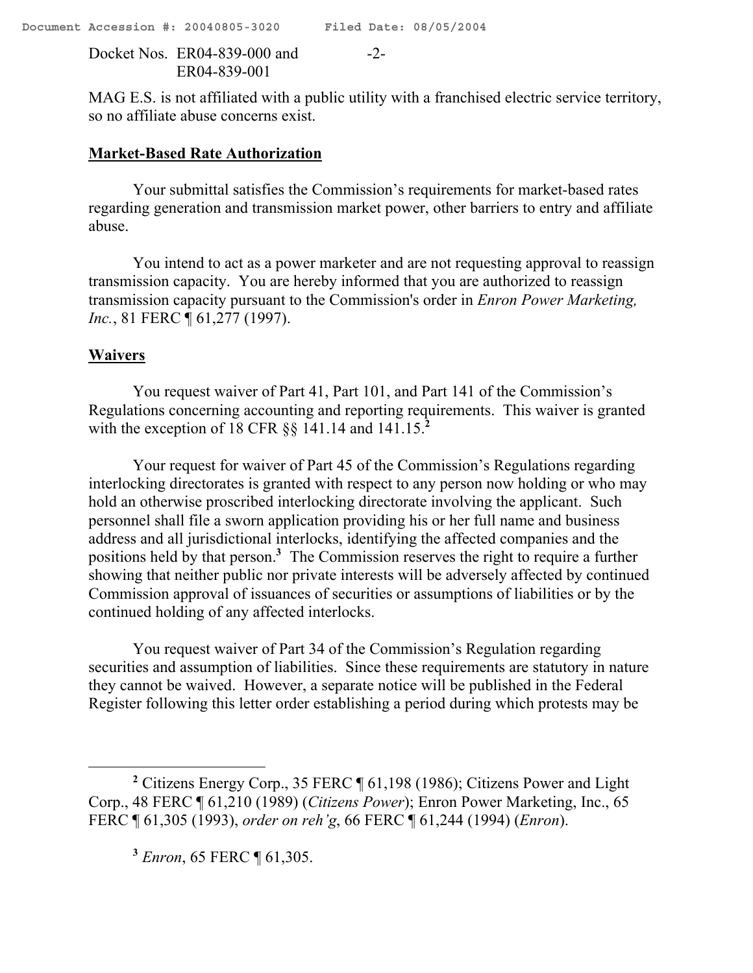Docket Nos. ER04-839-000 and -2-ER04-839-001

MAG E.S. is not affiliated with a public utility with a franchised electric service territory, so no affiliate abuse concerns exist.

## **Market-Based Rate Authorization**

Your submittal satisfies the Commission's requirements for market-based rates regarding generation and transmission market power, other barriers to entry and affiliate abuse.

You intend to act as a power marketer and are not requesting approval to reassign transmission capacity. You are hereby informed that you are authorized to reassign transmission capacity pursuant to the Commission's order in *Enron Power Marketing, Inc.*, 81 FERC ¶ 61,277 (1997).

# **Waivers**

 $\overline{a}$ 

You request waiver of Part 41, Part 101, and Part 141 of the Commission's Regulations concerning accounting and reporting requirements. This waiver is granted with the exception of 18 CFR §§ 141.14 and 141.15.**<sup>2</sup>**

Your request for waiver of Part 45 of the Commission's Regulations regarding interlocking directorates is granted with respect to any person now holding or who may hold an otherwise proscribed interlocking directorate involving the applicant. Such personnel shall file a sworn application providing his or her full name and business address and all jurisdictional interlocks, identifying the affected companies and the positions held by that person.**<sup>3</sup>** The Commission reserves the right to require a further showing that neither public nor private interests will be adversely affected by continued Commission approval of issuances of securities or assumptions of liabilities or by the continued holding of any affected interlocks.

You request waiver of Part 34 of the Commission's Regulation regarding securities and assumption of liabilities. Since these requirements are statutory in nature they cannot be waived. However, a separate notice will be published in the Federal Register following this letter order establishing a period during which protests may be

**<sup>3</sup>** *Enron*, 65 FERC ¶ 61,305.

**<sup>2</sup>** Citizens Energy Corp., 35 FERC ¶ 61,198 (1986); Citizens Power and Light Corp., 48 FERC ¶ 61,210 (1989) (*Citizens Power*); Enron Power Marketing, Inc., 65 FERC ¶ 61,305 (1993), *order on reh'g*, 66 FERC ¶ 61,244 (1994) (*Enron*).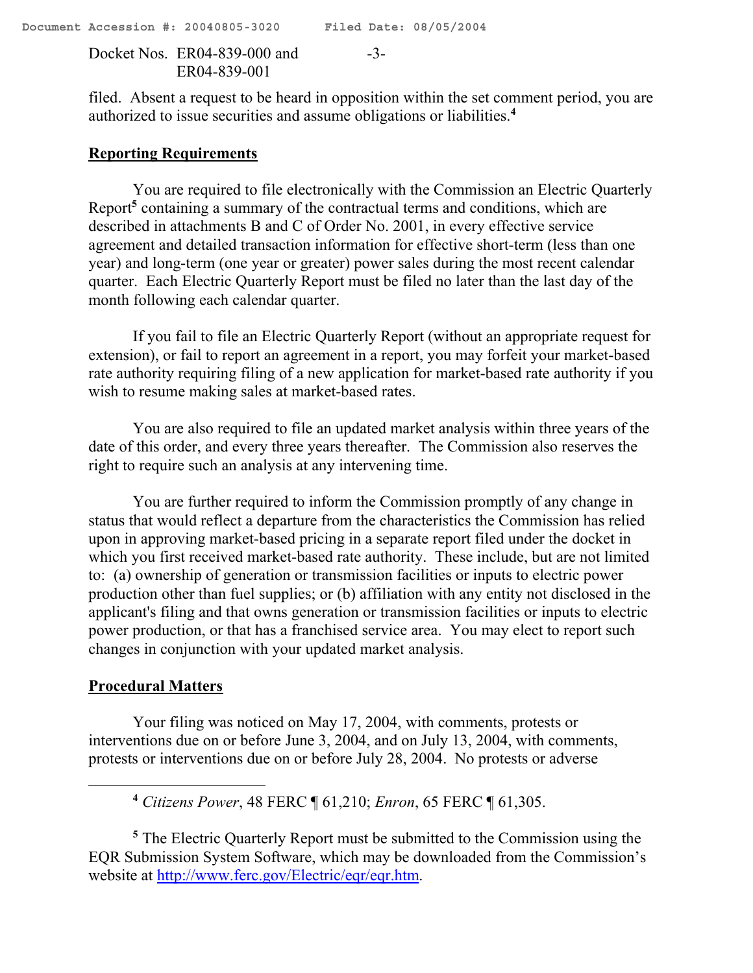Docket Nos. ER04-839-000 and -3- ER04-839-001

filed. Absent a request to be heard in opposition within the set comment period, you are authorized to issue securities and assume obligations or liabilities. **4**

## **Reporting Requirements**

You are required to file electronically with the Commission an Electric Quarterly Report**<sup>5</sup>** containing a summary of the contractual terms and conditions, which are described in attachments B and C of Order No. 2001, in every effective service agreement and detailed transaction information for effective short-term (less than one year) and long-term (one year or greater) power sales during the most recent calendar quarter. Each Electric Quarterly Report must be filed no later than the last day of the month following each calendar quarter.

If you fail to file an Electric Quarterly Report (without an appropriate request for extension), or fail to report an agreement in a report, you may forfeit your market-based rate authority requiring filing of a new application for market-based rate authority if you wish to resume making sales at market-based rates.

You are also required to file an updated market analysis within three years of the date of this order, and every three years thereafter. The Commission also reserves the right to require such an analysis at any intervening time.

You are further required to inform the Commission promptly of any change in status that would reflect a departure from the characteristics the Commission has relied upon in approving market-based pricing in a separate report filed under the docket in which you first received market-based rate authority. These include, but are not limited to: (a) ownership of generation or transmission facilities or inputs to electric power production other than fuel supplies; or (b) affiliation with any entity not disclosed in the applicant's filing and that owns generation or transmission facilities or inputs to electric power production, or that has a franchised service area. You may elect to report such changes in conjunction with your updated market analysis.

# **Procedural Matters**

 $\overline{a}$ 

Your filing was noticed on May 17, 2004, with comments, protests or interventions due on or before June 3, 2004, and on July 13, 2004, with comments, protests or interventions due on or before July 28, 2004. No protests or adverse

**<sup>4</sup>** *Citizens Power*, 48 FERC ¶ 61,210; *Enron*, 65 FERC ¶ 61,305.

**<sup>5</sup>** The Electric Quarterly Report must be submitted to the Commission using the EQR Submission System Software, which may be downloaded from the Commission's website at http://www.ferc.gov/Electric/eqr/eqr.htm.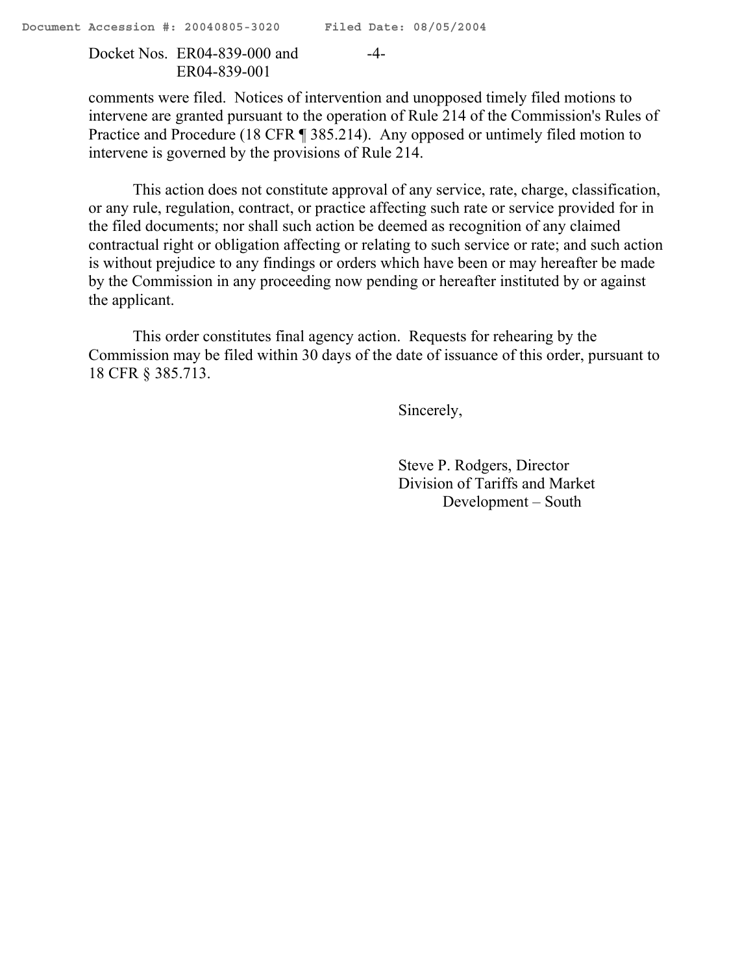Docket Nos. ER04-839-000 and -4- ER04-839-001

comments were filed. Notices of intervention and unopposed timely filed motions to intervene are granted pursuant to the operation of Rule 214 of the Commission's Rules of Practice and Procedure (18 CFR ¶ 385.214). Any opposed or untimely filed motion to intervene is governed by the provisions of Rule 214.

This action does not constitute approval of any service, rate, charge, classification, or any rule, regulation, contract, or practice affecting such rate or service provided for in the filed documents; nor shall such action be deemed as recognition of any claimed contractual right or obligation affecting or relating to such service or rate; and such action is without prejudice to any findings or orders which have been or may hereafter be made by the Commission in any proceeding now pending or hereafter instituted by or against the applicant.

This order constitutes final agency action. Requests for rehearing by the Commission may be filed within 30 days of the date of issuance of this order, pursuant to 18 CFR § 385.713.

Sincerely,

Steve P. Rodgers, Director Division of Tariffs and Market Development – South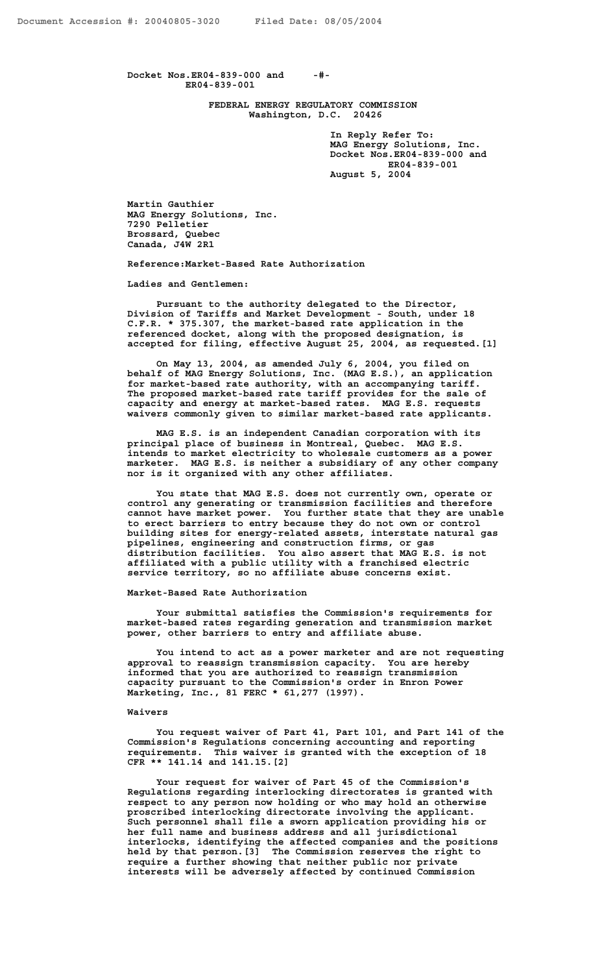**Docket Nos.ER04-839-000 and -#- ER04-839-001**

> **FEDERAL ENERGY REGULATORY COMMISSION Washington, D.C. 20426**

> > **In Reply Refer To: MAG Energy Solutions, Inc. Docket Nos.ER04-839-000 and ER04-839-001 August 5, 2004**

**Martin Gauthier MAG Energy Solutions, Inc. 7290 Pelletier Brossard, Quebec Canada, J4W 2R1**

**Reference:Market-Based Rate Authorization**

**Ladies and Gentlemen:**

**Pursuant to the authority delegated to the Director, Division of Tariffs and Market Development - South, under 18 C.F.R. \* 375.307, the market-based rate application in the referenced docket, along with the proposed designation, is accepted for filing, effective August 25, 2004, as requested.[1]** 

**On May 13, 2004, as amended July 6, 2004, you filed on behalf of MAG Energy Solutions, Inc. (MAG E.S.), an application for market-based rate authority, with an accompanying tariff. The proposed market-based rate tariff provides for the sale of capacity and energy at market-based rates. MAG E.S. requests waivers commonly given to similar market-based rate applicants.** 

**MAG E.S. is an independent Canadian corporation with its principal place of business in Montreal, Quebec. MAG E.S. intends to market electricity to wholesale customers as a power marketer. MAG E.S. is neither a subsidiary of any other company nor is it organized with any other affiliates.** 

**You state that MAG E.S. does not currently own, operate or control any generating or transmission facilities and therefore cannot have market power. You further state that they are unable to erect barriers to entry because they do not own or control building sites for energy-related assets, interstate natural gas pipelines, engineering and construction firms, or gas distribution facilities. You also assert that MAG E.S. is not affiliated with a public utility with a franchised electric service territory, so no affiliate abuse concerns exist.** 

**Market-Based Rate Authorization**

**Your submittal satisfies the Commission's requirements for market-based rates regarding generation and transmission market power, other barriers to entry and affiliate abuse.**

**You intend to act as a power marketer and are not requesting approval to reassign transmission capacity. You are hereby informed that you are authorized to reassign transmission capacity pursuant to the Commission's order in Enron Power Marketing, Inc., 81 FERC \* 61,277 (1997).**

#### **Waivers**

**You request waiver of Part 41, Part 101, and Part 141 of the Commission's Regulations concerning accounting and reporting requirements. This waiver is granted with the exception of 18 CFR \*\* 141.14 and 141.15.[2]**

**Your request for waiver of Part 45 of the Commission's Regulations regarding interlocking directorates is granted with respect to any person now holding or who may hold an otherwise proscribed interlocking directorate involving the applicant. Such personnel shall file a sworn application providing his or her full name and business address and all jurisdictional interlocks, identifying the affected companies and the positions held by that person.[3] The Commission reserves the right to require a further showing that neither public nor private interests will be adversely affected by continued Commission**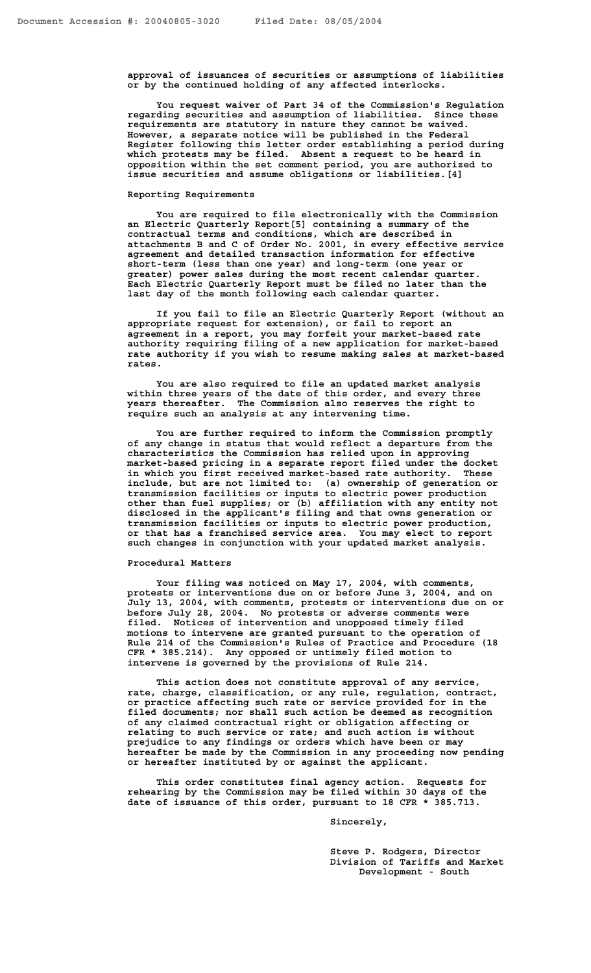**approval of issuances of securities or assumptions of liabilities or by the continued holding of any affected interlocks.**

**You request waiver of Part 34 of the Commission's Regulation regarding securities and assumption of liabilities. Since these requirements are statutory in nature they cannot be waived. However, a separate notice will be published in the Federal Register following this letter order establishing a period during which protests may be filed. Absent a request to be heard in opposition within the set comment period, you are authorized to issue securities and assume obligations or liabilities.[4]**

#### **Reporting Requirements**

**You are required to file electronically with the Commission an Electric Quarterly Report[5] containing a summary of the contractual terms and conditions, which are described in attachments B and C of Order No. 2001, in every effective service agreement and detailed transaction information for effective short-term (less than one year) and long-term (one year or greater) power sales during the most recent calendar quarter. Each Electric Quarterly Report must be filed no later than the last day of the month following each calendar quarter.** 

**If you fail to file an Electric Quarterly Report (without an appropriate request for extension), or fail to report an agreement in a report, you may forfeit your market-based rate authority requiring filing of a new application for market-based rate authority if you wish to resume making sales at market-based rates.**

**You are also required to file an updated market analysis within three years of the date of this order, and every three years thereafter. The Commission also reserves the right to require such an analysis at any intervening time.** 

**You are further required to inform the Commission promptly of any change in status that would reflect a departure from the characteristics the Commission has relied upon in approving market-based pricing in a separate report filed under the docket in which you first received market-based rate authority. These include, but are not limited to: (a) ownership of generation or transmission facilities or inputs to electric power production other than fuel supplies; or (b) affiliation with any entity not disclosed in the applicant's filing and that owns generation or transmission facilities or inputs to electric power production, or that has a franchised service area. You may elect to report such changes in conjunction with your updated market analysis.** 

#### **Procedural Matters**

**Your filing was noticed on May 17, 2004, with comments, protests or interventions due on or before June 3, 2004, and on July 13, 2004, with comments, protests or interventions due on or before July 28, 2004. No protests or adverse comments were filed. Notices of intervention and unopposed timely filed motions to intervene are granted pursuant to the operation of Rule 214 of the Commission's Rules of Practice and Procedure (18 CFR \* 385.214). Any opposed or untimely filed motion to intervene is governed by the provisions of Rule 214.**

**This action does not constitute approval of any service, rate, charge, classification, or any rule, regulation, contract, or practice affecting such rate or service provided for in the filed documents; nor shall such action be deemed as recognition of any claimed contractual right or obligation affecting or relating to such service or rate; and such action is without prejudice to any findings or orders which have been or may hereafter be made by the Commission in any proceeding now pending or hereafter instituted by or against the applicant.**

**This order constitutes final agency action. Requests for rehearing by the Commission may be filed within 30 days of the date of issuance of this order, pursuant to 18 CFR \* 385.713.**

**Sincerely,**

**Steve P. Rodgers, Director Division of Tariffs and Market Development - South**